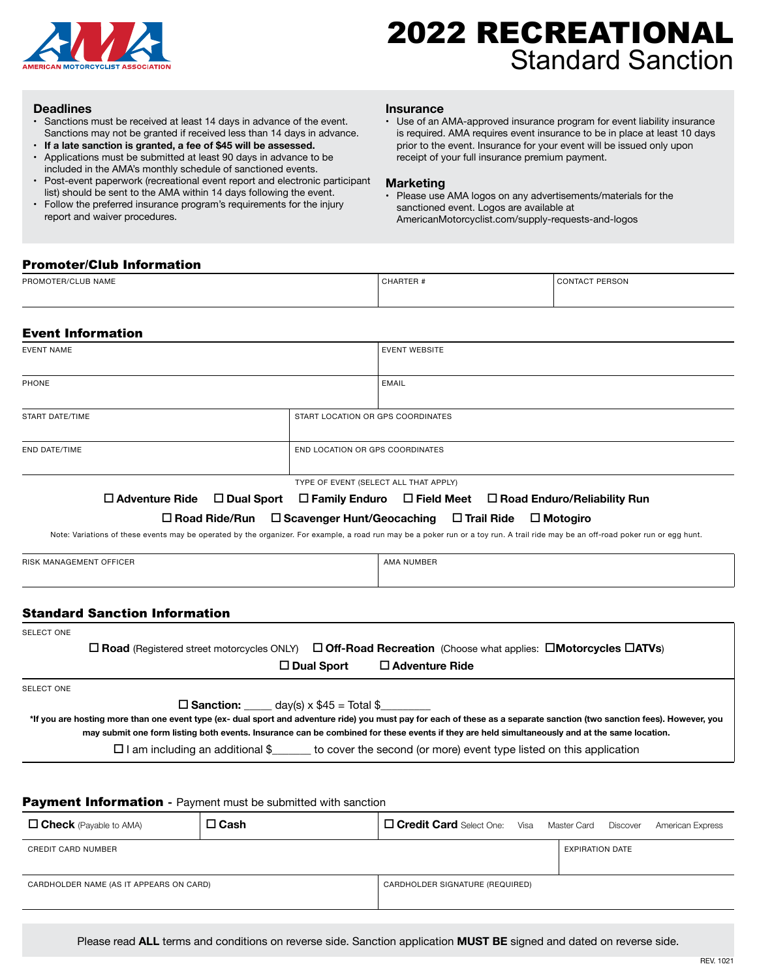

# 2022 RECREATIONAL Standard Sanction

### **Deadlines**

- • Sanctions must be received at least 14 days in advance of the event. Sanctions may not be granted if received less than 14 days in advance.
- **• If a late sanction is granted, a fee of \$45 will be assessed.**
- • Applications must be submitted at least 90 days in advance to be included in the AMA's monthly schedule of sanctioned events.
- Post-event paperwork (recreational event report and electronic participant list) should be sent to the AMA within 14 days following the event.
- Follow the preferred insurance program's requirements for the injury report and waiver procedures.

## **Insurance**

• Use of an AMA-approved insurance program for event liability insurance is required. AMA requires event insurance to be in place at least 10 days prior to the event. Insurance for your event will be issued only upon receipt of your full insurance premium payment.

## **Marketing**

• Please use AMA logos on any advertisements/materials for the sanctioned event. Logos are available at AmericanMotorcyclist.com/supply-requests-and-logos

# Promoter/Club Information

| <b>PROM</b><br>$\cdots$<br><b>ER/CLUB NAME</b> | HAR I<br>ᄂ<br>the contract of the contract of the contract of the contract of the contract of the contract of the contract of | PERSON<br>UONTACT ' |
|------------------------------------------------|-------------------------------------------------------------------------------------------------------------------------------|---------------------|
|                                                |                                                                                                                               |                     |

# Event Information

| <b>EVENT WEBSITE</b>              |  |  |
|-----------------------------------|--|--|
| <b>EMAIL</b>                      |  |  |
| START LOCATION OR GPS COORDINATES |  |  |
| END LOCATION OR GPS COORDINATES   |  |  |
|                                   |  |  |

TYPE OF EVENT (SELECT ALL THAT APPLY)

**Adventure Ride Dual Sport Family Enduro Field Meet Road Enduro/Reliability Run** 

**Road Ride/Run Scavenger Hunt/Geocaching Trail Ride Motogiro**

Note: Variations of these events may be operated by the organizer. For example, a road run may be a poker run or a toy run. A trail ride may be an off-road poker run or egg hunt.

RISK MANAGEMENT OFFICER AND THE SERIES OF THE SERIES OF THE SERIES OF THE SERIES OF THE SERIES OF THE SERIES O

# Standard Sanction Information

| <b>SELECT ONE</b> |  |
|-------------------|--|
|-------------------|--|

 **Road** (Registered street motorcycles ONLY) **Off-Road Recreation** (Choose what applies: **Motorcycles ATVs**) **Dual Sport Adventure Ride**

SELECT ONE

 $\Box$  **Sanction:** \_\_\_\_\_\_ day(s)  $\times$  \$45 = Total \$\_

**\*If you are hosting more than one event type (ex- dual sport and adventure ride) you must pay for each of these as a separate sanction (two sanction fees). However, you may submit one form listing both events. Insurance can be combined for these events if they are held simultaneously and at the same location.**

 $\Box$  I am including an additional \$\_\_\_\_\_\_ to cover the second (or more) event type listed on this application

# Payment Information **-** Payment must be submitted with sanction

| $\Box$ Check (Payable to AMA)           | $\square$ Cash | <b>Credit Card</b> Select One: Visa Master Card Discover |                        | American Express |
|-----------------------------------------|----------------|----------------------------------------------------------|------------------------|------------------|
| <b>CREDIT CARD NUMBER</b>               |                |                                                          | <b>EXPIRATION DATE</b> |                  |
| CARDHOLDER NAME (AS IT APPEARS ON CARD) |                | CARDHOLDER SIGNATURE (REQUIRED)                          |                        |                  |

Please read **ALL** terms and conditions on reverse side. Sanction application **MUST BE** signed and dated on reverse side.